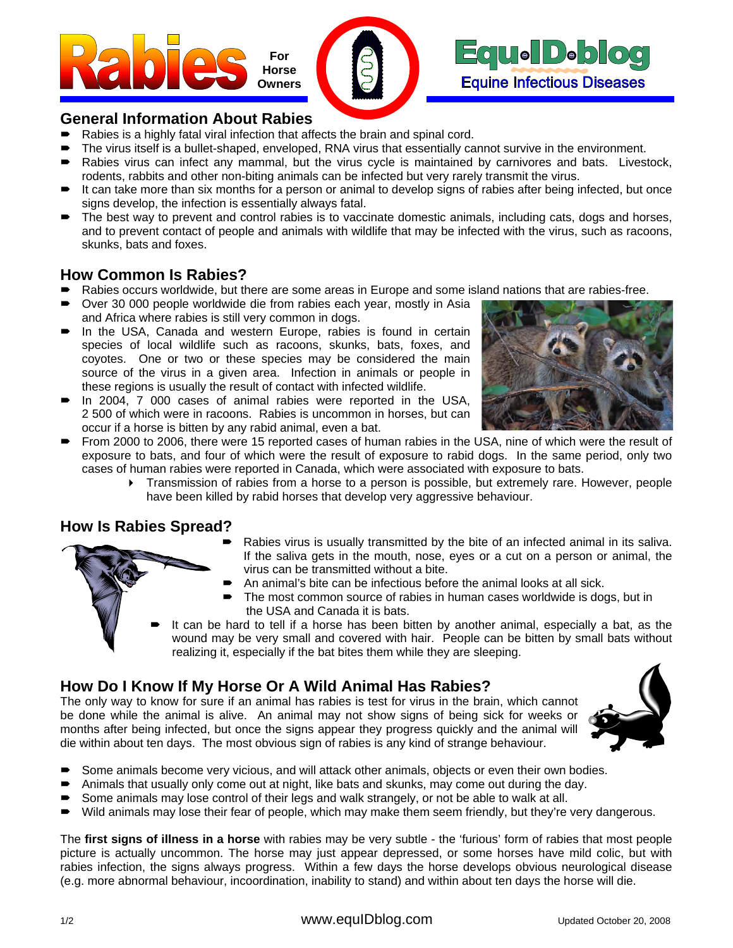



#### **General Information About Rabies**

- Rabies is a highly fatal viral infection that affects the brain and spinal cord.
- The virus itself is a bullet-shaped, enveloped, RNA virus that essentially cannot survive in the environment.
- Rabies virus can infect any mammal, but the virus cycle is maintained by carnivores and bats. Livestock, rodents, rabbits and other non-biting animals can be infected but very rarely transmit the virus.
- It can take more than six months for a person or animal to develop signs of rabies after being infected, but once signs develop, the infection is essentially always fatal.
- The best way to prevent and control rabies is to vaccinate domestic animals, including cats, dogs and horses, and to prevent contact of people and animals with wildlife that may be infected with the virus, such as racoons, skunks, bats and foxes.

### **How Common Is Rabies?**

- Rabies occurs worldwide, but there are some areas in Europe and some island nations that are rabies-free.
- Over 30 000 people worldwide die from rabies each year, mostly in Asia and Africa where rabies is still very common in dogs.
- In the USA, Canada and western Europe, rabies is found in certain species of local wildlife such as racoons, skunks, bats, foxes, and coyotes. One or two or these species may be considered the main source of the virus in a given area. Infection in animals or people in these regions is usually the result of contact with infected wildlife.
- In 2004, 7 000 cases of animal rabies were reported in the USA, 2 500 of which were in racoons. Rabies is uncommon in horses, but can occur if a horse is bitten by any rabid animal, even a bat.



- From 2000 to 2006, there were 15 reported cases of human rabies in the USA, nine of which were the result of exposure to bats, and four of which were the result of exposure to rabid dogs. In the same period, only two cases of human rabies were reported in Canada, which were associated with exposure to bats.
	- Transmission of rabies from a horse to a person is possible, but extremely rare. However, people have been killed by rabid horses that develop very aggressive behaviour.

#### **How Is Rabies Spread?**

- Rabies virus is usually transmitted by the bite of an infected animal in its saliva. If the saliva gets in the mouth, nose, eyes or a cut on a person or animal, the virus can be transmitted without a bite.
- An animal's bite can be infectious before the animal looks at all sick.
- The most common source of rabies in human cases worldwide is dogs, but in the USA and Canada it is bats.
- It can be hard to tell if a horse has been bitten by another animal, especially a bat, as the wound may be very small and covered with hair. People can be bitten by small bats without realizing it, especially if the bat bites them while they are sleeping.

# **How Do I Know If My Horse Or A Wild Animal Has Rabies?**

The only way to know for sure if an animal has rabies is test for virus in the brain, which cannot be done while the animal is alive. An animal may not show signs of being sick for weeks or months after being infected, but once the signs appear they progress quickly and the animal will die within about ten days. The most obvious sign of rabies is any kind of strange behaviour.



- Some animals become very vicious, and will attack other animals, objects or even their own bodies.
- Animals that usually only come out at night, like bats and skunks, may come out during the day.
- Some animals may lose control of their legs and walk strangely, or not be able to walk at all.
- Wild animals may lose their fear of people, which may make them seem friendly, but they're very dangerous.

The **first signs of illness in a horse** with rabies may be very subtle - the 'furious' form of rabies that most people picture is actually uncommon. The horse may just appear depressed, or some horses have mild colic, but with rabies infection, the signs always progress. Within a few days the horse develops obvious neurological disease (e.g. more abnormal behaviour, incoordination, inability to stand) and within about ten days the horse will die.